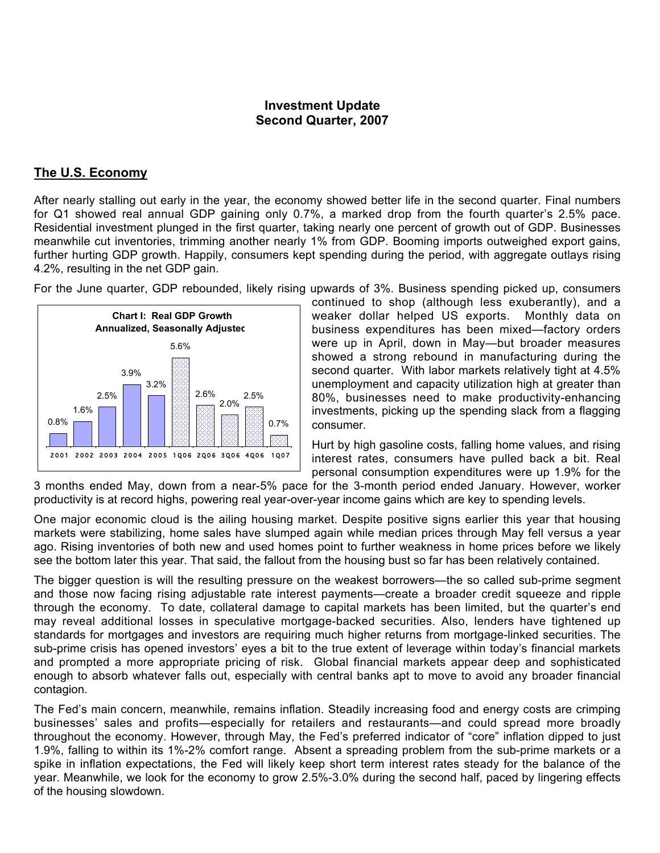## **Investment Update Second Quarter, 2007**

## **The U.S. Economy**

After nearly stalling out early in the year, the economy showed better life in the second quarter. Final numbers for Q1 showed real annual GDP gaining only 0.7%, a marked drop from the fourth quarter's 2.5% pace. Residential investment plunged in the first quarter, taking nearly one percent of growth out of GDP. Businesses meanwhile cut inventories, trimming another nearly 1% from GDP. Booming imports outweighed export gains, further hurting GDP growth. Happily, consumers kept spending during the period, with aggregate outlays rising 4.2%, resulting in the net GDP gain.

For the June quarter, GDP rebounded, likely rising upwards of 3%. Business spending picked up, consumers



continued to shop (although less exuberantly), and a weaker dollar helped US exports. Monthly data on business expenditures has been mixed—factory orders were up in April, down in May—but broader measures showed a strong rebound in manufacturing during the second quarter. With labor markets relatively tight at 4.5% unemployment and capacity utilization high at greater than 80%, businesses need to make productivity-enhancing investments, picking up the spending slack from a flagging consumer.

Hurt by high gasoline costs, falling home values, and rising interest rates, consumers have pulled back a bit. Real personal consumption expenditures were up 1.9% for the

3 months ended May, down from a near-5% pace for the 3-month period ended January. However, worker productivity is at record highs, powering real year-over-year income gains which are key to spending levels.

One major economic cloud is the ailing housing market. Despite positive signs earlier this year that housing markets were stabilizing, home sales have slumped again while median prices through May fell versus a year ago. Rising inventories of both new and used homes point to further weakness in home prices before we likely see the bottom later this year. That said, the fallout from the housing bust so far has been relatively contained.

The bigger question is will the resulting pressure on the weakest borrowers—the so called sub-prime segment and those now facing rising adjustable rate interest payments—create a broader credit squeeze and ripple through the economy. To date, collateral damage to capital markets has been limited, but the quarter's end may reveal additional losses in speculative mortgage-backed securities. Also, lenders have tightened up standards for mortgages and investors are requiring much higher returns from mortgage-linked securities. The sub-prime crisis has opened investors' eyes a bit to the true extent of leverage within today's financial markets and prompted a more appropriate pricing of risk. Global financial markets appear deep and sophisticated enough to absorb whatever falls out, especially with central banks apt to move to avoid any broader financial contagion.

The Fed's main concern, meanwhile, remains inflation. Steadily increasing food and energy costs are crimping businesses' sales and profits—especially for retailers and restaurants—and could spread more broadly throughout the economy. However, through May, the Fed's preferred indicator of "core" inflation dipped to just 1.9%, falling to within its 1%-2% comfort range. Absent a spreading problem from the sub-prime markets or a spike in inflation expectations, the Fed will likely keep short term interest rates steady for the balance of the year. Meanwhile, we look for the economy to grow 2.5%-3.0% during the second half, paced by lingering effects of the housing slowdown.